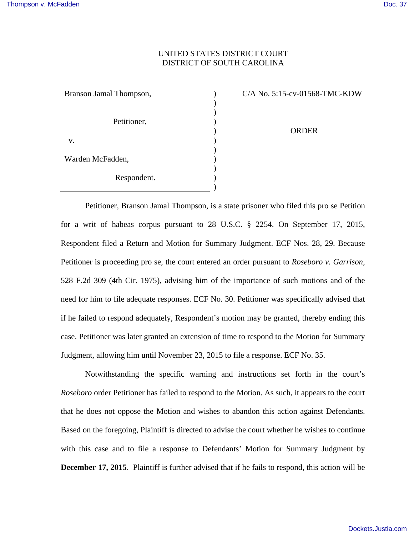## UNITED STATES DISTRICT COURT DISTRICT OF SOUTH CAROLINA

) ) ) ) ) ) ) ) ) ) )

| Branson Jamal Thompson, |
|-------------------------|
| Petitioner,             |
| V.                      |
| Warden McFadden,        |
| Respondent.             |

C/A No. 5:15-cv-01568-TMC-KDW

ORDER

Petitioner, Branson Jamal Thompson, is a state prisoner who filed this pro se Petition for a writ of habeas corpus pursuant to 28 U.S.C. § 2254. On September 17, 2015, Respondent filed a Return and Motion for Summary Judgment. ECF Nos. 28, 29. Because Petitioner is proceeding pro se, the court entered an order pursuant to *Roseboro v. Garrison*, 528 F.2d 309 (4th Cir. 1975), advising him of the importance of such motions and of the need for him to file adequate responses. ECF No. 30. Petitioner was specifically advised that if he failed to respond adequately, Respondent's motion may be granted, thereby ending this case. Petitioner was later granted an extension of time to respond to the Motion for Summary Judgment, allowing him until November 23, 2015 to file a response. ECF No. 35.

Notwithstanding the specific warning and instructions set forth in the court's *Roseboro* order Petitioner has failed to respond to the Motion. As such, it appears to the court that he does not oppose the Motion and wishes to abandon this action against Defendants. Based on the foregoing, Plaintiff is directed to advise the court whether he wishes to continue with this case and to file a response to Defendants' Motion for Summary Judgment by **December 17, 2015**. Plaintiff is further advised that if he fails to respond, this action will be